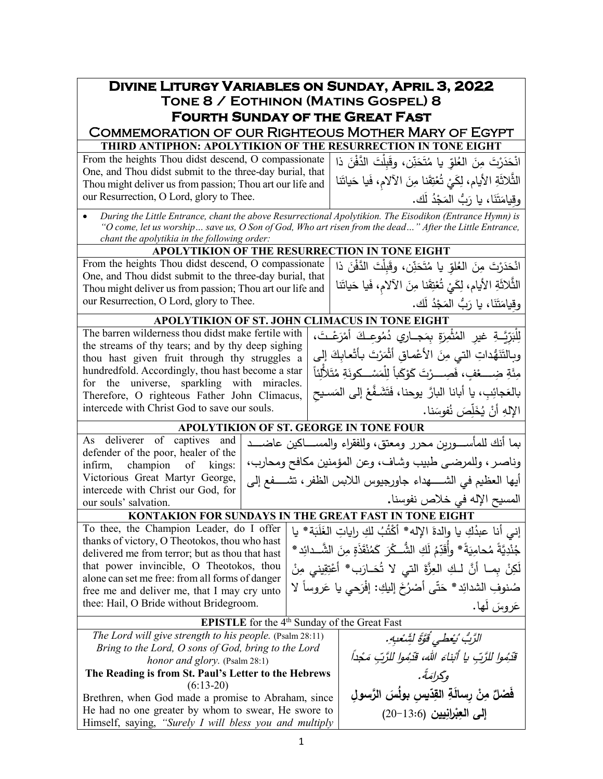| <b>DIVINE LITURGY VARIABLES ON SUNDAY, APRIL 3, 2022</b>                                                                                                                                                           |  |                                                                                         |  |  |  |  |
|--------------------------------------------------------------------------------------------------------------------------------------------------------------------------------------------------------------------|--|-----------------------------------------------------------------------------------------|--|--|--|--|
| TONE 8 / EOTHINON (MATINS GOSPEL) 8                                                                                                                                                                                |  |                                                                                         |  |  |  |  |
| <b>FOURTH SUNDAY OF THE GREAT FAST</b>                                                                                                                                                                             |  |                                                                                         |  |  |  |  |
| <b>COMMEMORATION OF OUR RIGHTEOUS MOTHER MARY OF EGYPT</b>                                                                                                                                                         |  |                                                                                         |  |  |  |  |
| THIRD ANTIPHON: APOLYTIKION OF THE RESURRECTION IN TONE EIGHT                                                                                                                                                      |  |                                                                                         |  |  |  |  |
| From the heights Thou didst descend, O compassionate                                                                                                                                                               |  | انْحَدَرْتَ مِنَ العُلوِّ يا مُتَحَنِّن، وقَبِلْتَ الدَّفْنَ ذا                         |  |  |  |  |
| One, and Thou didst submit to the three-day burial, that                                                                                                                                                           |  | الثَّلاثَةِ الأيام، لِكَيْ تُعْتِقَنا مِنَ الآلام، فَيا حَياتَنا                        |  |  |  |  |
| Thou might deliver us from passion; Thou art our life and<br>our Resurrection, O Lord, glory to Thee.                                                                                                              |  |                                                                                         |  |  |  |  |
|                                                                                                                                                                                                                    |  | وقيامَتَنَا، يا رَبُّ المَجْدُ لَك.                                                     |  |  |  |  |
| During the Little Entrance, chant the above Resurrectional Apolytikion. The Eisodikon (Entrance Hymn) is<br>"O come, let us worship save us, O Son of God, Who art risen from the dead" After the Little Entrance, |  |                                                                                         |  |  |  |  |
| chant the apolytikia in the following order:                                                                                                                                                                       |  |                                                                                         |  |  |  |  |
| APOLYTIKION OF THE RESURRECTION IN TONE EIGHT                                                                                                                                                                      |  |                                                                                         |  |  |  |  |
| From the heights Thou didst descend, O compassionate                                                                                                                                                               |  | انْحَدَرْتَ مِنَ الْعُلَّوِ يا مُتَحَنِّن، وقَبِلْتَ الدَّفْنَ ذا                       |  |  |  |  |
| One, and Thou didst submit to the three-day burial, that                                                                                                                                                           |  |                                                                                         |  |  |  |  |
| Thou might deliver us from passion; Thou art our life and                                                                                                                                                          |  | الثَّلاثَةِ الأيام، لِكَيْ تُعْتِقَنا مِنَ الآلام، فَيا حَياتَنا                        |  |  |  |  |
| our Resurrection, O Lord, glory to Thee.                                                                                                                                                                           |  | وقيامَتَنَا، يا رَبُّ المَجْدُ لَك.                                                     |  |  |  |  |
| APOLYTIKION OF ST. JOHN CLIMACUS IN TONE EIGHT                                                                                                                                                                     |  |                                                                                         |  |  |  |  |
| The barren wilderness thou didst make fertile with                                                                                                                                                                 |  | لِلْبَرِّيَّــةِ غيرِ المُثْمِرَةِ بِمَجــارِي دُمُوعِـكَ أَمْرَعْـتَ،                  |  |  |  |  |
| the streams of thy tears; and by thy deep sighing<br>thou hast given fruit through thy struggles a                                                                                                                 |  | وبِالتَنَهُّداتِ التي مِنَ الأعْماقِ أَثْمَرْتَ بِأَتْعابِكَ إلى                        |  |  |  |  |
| hundredfold. Accordingly, thou hast become a star                                                                                                                                                                  |  | مِئَةِ ضِــــــــــــــوْبَ ، فَصِــــــرْتَ كَوْكَباً لِلْمَسْــــكونَةِ مُتَلأَلِّئاً |  |  |  |  |
| for the universe, sparkling with miracles.                                                                                                                                                                         |  |                                                                                         |  |  |  |  |
| Therefore, O righteous Father John Climacus,                                                                                                                                                                       |  | بالعَجائِبِ، يا أبانا البارَّ يوحنا، فَتَشَـفَّعْ إلى المَسـيح                          |  |  |  |  |
| intercede with Christ God to save our souls.                                                                                                                                                                       |  | الإلهِ أَنْ يُخَلِّصَ نُفوسَنا.                                                         |  |  |  |  |
| APOLYTIKION OF ST. GEORGE IN TONE FOUR                                                                                                                                                                             |  |                                                                                         |  |  |  |  |
| As deliverer of captives and                                                                                                                                                                                       |  | بما أنك للمأســــورين محرر ومعتق، وللفقراء والمســــاكين عاضــــد                       |  |  |  |  |
| defender of the poor, healer of the<br>champion<br>infirm,<br>kings:<br>of                                                                                                                                         |  | وناصر ، وللمرضى طبيب وشاف، وعن المؤمنين مكافح ومحارب،                                   |  |  |  |  |
| Victorious Great Martyr George,<br>أيها العظيم في الشـــــهداء جاورجيوس اللابس الظفر ، تشــــفع إلى                                                                                                                |  |                                                                                         |  |  |  |  |
| intercede with Christ our God, for                                                                                                                                                                                 |  |                                                                                         |  |  |  |  |
| our souls' salvation.                                                                                                                                                                                              |  | المسيح الإله في خلاص نفوسنا.                                                            |  |  |  |  |
| KONTAKION FOR SUNDAYS IN THE GREAT FAST IN TONE EIGHT                                                                                                                                                              |  |                                                                                         |  |  |  |  |
| To thee, the Champion Leader, do I offer<br>thanks of victory, O Theotokos, thou who hast                                                                                                                          |  | إني أنا عبدُكِ يا والدةَ الإله* أَكْتُبُ لكِ راياتِ الغَلَبَة* يا                       |  |  |  |  |
| delivered me from terror; but as thou that hast                                                                                                                                                                    |  | جُنْدِيَّةً مُحامِيَةً* وأُقَدِّمُ لَكِ الشُّــكْرَ كَمُنْقَذَةِ مِنَ الشَّــدائِدِ*    |  |  |  |  |
| that power invincible, O Theotokos, thou                                                                                                                                                                           |  | لَكِنْ بِمـا أَنَّ لـكِ العِزَّةَ التي لا تُحَـارَب* أَعْتِقِيني مِنْ                   |  |  |  |  |
| alone can set me free: from all forms of danger<br>free me and deliver me, that I may cry unto                                                                                                                     |  | صُنوفِ الشدائِد* حَتّى أَصْرُخَ إليكِ: إفْرَحى يا عَروساً لا                            |  |  |  |  |
| thee: Hail, O Bride without Bridegroom.                                                                                                                                                                            |  | عَروسَ لَها.                                                                            |  |  |  |  |
| <b>EPISTLE</b> for the $4th$ Sunday of the Great Fast                                                                                                                                                              |  |                                                                                         |  |  |  |  |
| The Lord will give strength to his people. (Psalm 28:11)                                                                                                                                                           |  | الرَّبُّ بُعْطَى قَوَّةً لِشَّعْبِهِ.                                                   |  |  |  |  |
| Bring to the Lord, O sons of God, bring to the Lord                                                                                                                                                                |  |                                                                                         |  |  |  |  |
| honor and glory. (Psalm 28:1)                                                                                                                                                                                      |  | قَدْمُوا لِلرَّبِّ يا أَبْناءَ الله، قَدْمُوا لِلرَّبِّ مَجْداً                         |  |  |  |  |
| The Reading is from St. Paul's Letter to the Hebrews                                                                                                                                                               |  | وگرامَةً.                                                                               |  |  |  |  |
| $(6:13-20)$<br>Brethren, when God made a promise to Abraham, since                                                                                                                                                 |  | فَصْلٌ مِنْ رسالَةِ القِدّيس بولُسَ الرَّسولِ                                           |  |  |  |  |
| He had no one greater by whom to swear, He swore to                                                                                                                                                                |  | إلى العِبْرانِيين (13:6−20)                                                             |  |  |  |  |
| Himself, saying, "Surely I will bless you and multiply                                                                                                                                                             |  |                                                                                         |  |  |  |  |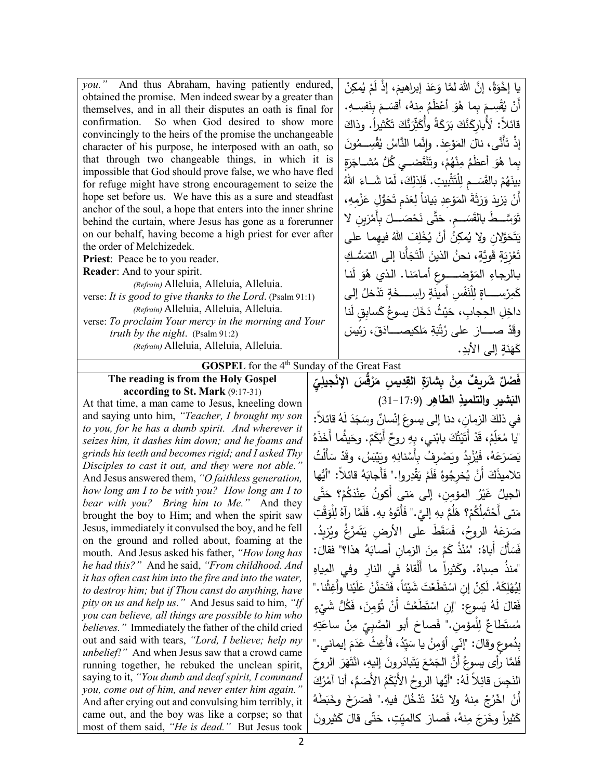*you."* And thus Abraham, having patiently endured, obtained the promise. Men indeed swear by a greater than themselves, and in all their disputes an oath is final for confirmation. So when God desired to show more convincingly to the heirs of the promise the unchangeable character of his purpose, he interposed with an oath, so that through two changeable things, in which it is impossible that God should prove false, we who have fled for refuge might have strong encouragement to seize the hope set before us. We have this as a sure and steadfast anchor of the soul, a hope that enters into the inner shrine behind the curtain, where Jesus has gone as a forerunner on our behalf, having become a high priest for ever after the order of Melchizedek.

**Priest**: Peace be to you reader.

**Reader**: And to your spirit.

*(Refrain)* Alleluia, Alleluia, Alleluia. verse: *It is good to give thanks to the Lord*. (Psalm 91:1) *(Refrain)* Alleluia, Alleluia, Alleluia. verse: *To proclaim Your mercy in the morning and Your* 

*truth by the night*.(Psalm 91:2)

*(Refrain)* Alleluia, Alleluia, Alleluia.

<u>:</u> يا إخْوَةُ، إنَّ اللهَ لمَّا وَعَدَ إبراهيمَ، إذْ لَمْ يُمكِنْ<br>يَمْ سُلْمَتِ اللهَ عَبْدَ اللهُ عَبْدَ اللهُ عَبْدَ اللهُ عَبْدَ اللهِ عَبْدَ اللهِ عَبْدَ اللهِ عَبْدَ اللهِ ْ ِ َفســــ ِ <sup>ه</sup> َ ِ بن ،ُ أقســــ َ <sup>م</sup> ِنه ُ م ْ َظم َ أع ُو َ ِ �ما ه ْســــ ِ م ق ُ أَن . ْ � قائلاً: لَأُبارِكَنَّكَ بَرَكَةً وأُكَثِّرَنَّكَ تَكْثيراً. وذاكَ<br>\* َ ِعد َو َ الم َ ْإذ ت . َ َّأَنى، نال ُون ْســـــــ ِ م ق ُ اس � َّو�ن َّ ما الن ُ ْ بِما هُوَ أعظَمُ مِنْهُمْ، وتَنْقَضــي كُلُّ مُشــاجَزَةٍ<br>مَسْمَدَتَ مَسْتَمَرُّوْهُ بِينَهُمْ بِالقَسَــمِ لِلْتَثْبِيتِ. فَلِذلِكَ، لَمّا شَــاءَ اللّهُ أَنْ يَزِيدَ وَرَثَةَ المَوْعِدِ بَياناً لِعَدَمِ تَحَوُّلِ عَزْمِهِ،<br>يَسْتَدَمَّسَ الصَّائِعَةِ ْ َســــــــ َ ِم َ َّســــــــ َط �الق َ <sup>ت</sup> . ِ�ن لا َو ْر َ ِ �أَم ْصــــــــ َ <sup>ل</sup> َح َّى ن ت َ ح يَتَحَوَّلانِ ولا يُمكِنُ أَنْ يُخْلِفَ اللهُ فيهِما على<br>. ١ تَعْزِيَةٍ قَويَّةٍ، نحنُ الذينَ الْتَجَأْنا إلى التمَسُّكِ<br>-ْ بالرجاءِ المَوْضــــوعِ أمامَنـا. الذي هُوَ لَنـا<br>. كَمِرْســـــاةٍ لِلْنَفْسِ أَمينَةٍ راسِــــخَةٍ تَدْخلُ إلي داخِلِ الحِجابِ، حَيْثُ دَخَلَ يسوعُ كَسابِقٍ لَنا<br>مَسَ َ َ ئ�س ،َ ر َق َلك�صــــــــــاد ِ م َة �ْ ت ُ َ على ر ْ صــــــــــار َد وق ِ ٍ إلى الأبد َة ن ك . َه  $\triangleleft$ 

**GOSPEL** for the 4<sup>th</sup> Sunday of the Great Fast

**The reading is from the Holy Gospel according to St. Mark** (9:17-31)

At that time, a man came to Jesus, kneeling down and saying unto him, *"Teacher, I brought my son to you, for he has a dumb spirit. And wherever it seizes him, it dashes him down; and he foams and grinds his teeth and becomes rigid; and I asked Thy Disciples to cast it out, and they were not able."* And Jesus answered them, *"O faithless generation, how long am I to be with you? How long am I to bear with you? Bring him to Me."* And they brought the boy to Him; and when the spirit saw Jesus, immediately it convulsed the boy, and he fell on the ground and rolled about, foaming at the mouth. And Jesus asked his father, *"How long has he had this?"* And he said, *"From childhood. And it has often cast him into the fire and into the water, to destroy him; but if Thou canst do anything, have pity on us and help us."* And Jesus said to him, *"If you can believe, all things are possible to him who believes."* Immediately the father of the child cried out and said with tears, *"Lord, I believe; help my unbelief!"* And when Jesus saw that a crowd came running together, he rebuked the unclean spirit, saying to it, *"You dumb and deaf spirit, I command you, come out of him, and never enter him again."* And after crying out and convulsing him terribly, it came out, and the boy was like a corpse; so that most of them said, *"He is dead."* But Jesus took

**ِ ّ ِي ْجیل ْ ُق َس الإن َر ِ ِ د�س م ِة الق َ ْن ِ �شار ِ ٌ َ ش ٌ ر�ف م َف ْصل ِر ِ الطاه ال�** (31-17:9) **َ ِشیر والتلمیذ** في ذلكَ الزمانِ، دنا إلى يسوعَ إنْسانٌ وسَجَدَ لَهُ قائلاً:<br>\* ُ<br>ُ ُ "�ا م َ َذه ُما أَخ َیث .ٌ وح َم ْك ٌ أَ� ِ روح ْ ِ ني، �ه َ �اب ُك ت ی َ ْ أَت َد ،ُ ق ِم ل َّ ع **ٔ** يَصَرَعَهُ، فَيُزْبِدُ ويَصْرِفُ بِأَسْنانِهِ ويَيْبَسُ، وقَدْ سَأَلْتُ<br>يَصَرَعَهُ، فَيُزْبِدُ ويَصْرِفُ بِأَسْنانِهِ ويَيْبَسُ، وقَدْ سَأَلْتُ ْ تلاميذَكَ أَنْ يُخرِجُوهُ فَلَمْ يَقْدِروا." فَأَجابَهُ قائلاً: "أَيُّها<br>. الجيلُ غَيْرُ المؤمِنِ، إلى مَتى أَكونُ عِنْدَكُمْ؟ حَتَّى<br>أَحْدَثُ الْمُؤْمِنِ إِلَى مَتَى مَتى أَحْتَمِلُكُمْ؟ هَلُمَّ بِهِ إِلَيَّ." فَأَتَوهُ بِهِ. فَلَمَّا رآهُ لِلْوَقْتِ **ٔ** صَرَعَهُ الروحُ، فَسَقَطَ على الأرضِ يَتَمرَّغُ ويُزبِدُ.<br>يَسْقَمَعُ الروحُ، فَسَأَلَ أَباهُ: "مُنْذُ كَمْ مِنَ الزمانِ أصابَهُ هذا؟" فقالَ:<br>. "منذُ صِباهُ. وكَثيراً ما أَلْقاهُ في النارِ وفي المِياهِ<br>" ْلِيُهْلِكَهُ. لَكِنْ إنِ اسْتَطَعْتَ شَيْئاً، فَتَحَنَّنْ عَلَيْنا وأَغِشَّا."<br>ِ  $\ddot{\phantom{0}}$ فَقالَ لَهُ يَسوع: "إنِ اسْتَطَعْتَ أَنْ تُؤمِنَ، فَكُلُّ شَيْءٍ<br>مسكنة تَباسُ اللَّهُ عَلَيْهِ مُستَطاعٌ لِلْمؤمنِ." فَصاحَ أبو الصَّبِيِّ مِنْ ساعَتِهِ<br>، بِدُموعِ وقالَ: "إِنّي أَؤْمِنُ يا سَيِّدُ، فَأَغِثْ عَدَمَ إيماني."<br>يَسْمَعُ ً<br>أ َ َ الروح َر َه ْت ،ِ ان َ إل�ه َرون َ�اد ت َ َ ی ْع َم ُ أَ َّن الج لما رأى �سوع َ َّ ف النَجِسَ قائِلاً لَهُ: "أَيُّها الروحُ الأَبْكَمُ الأَصَمُّ، أنا آمُرُكَ<br>أَمْسِنَا قَائِلاً لَهُ: "أَيُّها الروحُ الأَبْكَمُ الأَصَمُّ، أنا آمُرُكَ أَنْ إِخْرُجْ مِنهُ ولا تَعُدْ تَدْخُلُ فيهِ." فَصَرَخَ وخَبَطَهُ كَثيراً وخَرَجَ مِنهُ، فَصارَ كالميِّتِ، حَتَّى قالَ كَثيرونَ